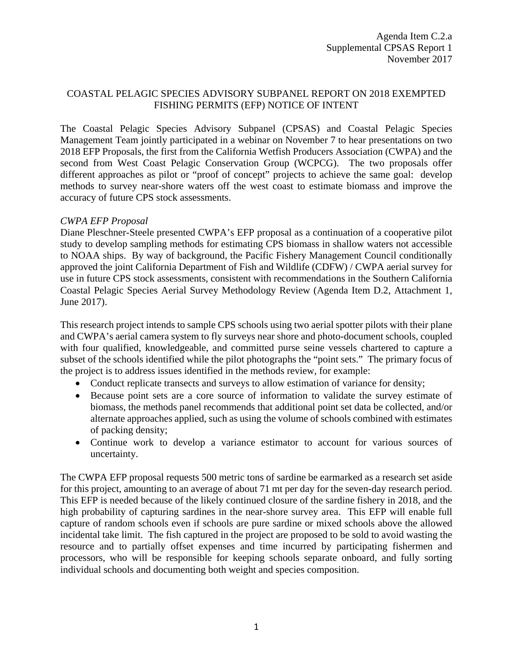## COASTAL PELAGIC SPECIES ADVISORY SUBPANEL REPORT ON 2018 EXEMPTED FISHING PERMITS (EFP) NOTICE OF INTENT

The Coastal Pelagic Species Advisory Subpanel (CPSAS) and Coastal Pelagic Species Management Team jointly participated in a webinar on November 7 to hear presentations on two 2018 EFP Proposals, the first from the California Wetfish Producers Association (CWPA) and the second from West Coast Pelagic Conservation Group (WCPCG). The two proposals offer different approaches as pilot or "proof of concept" projects to achieve the same goal: develop methods to survey near-shore waters off the west coast to estimate biomass and improve the accuracy of future CPS stock assessments.

## *CWPA EFP Proposal*

Diane Pleschner-Steele presented CWPA's EFP proposal as a continuation of a cooperative pilot study to develop sampling methods for estimating CPS biomass in shallow waters not accessible to NOAA ships. By way of background, the Pacific Fishery Management Council conditionally approved the joint California Department of Fish and Wildlife (CDFW) / CWPA aerial survey for use in future CPS stock assessments, consistent with recommendations in the Southern California Coastal Pelagic Species Aerial Survey Methodology Review (Agenda Item D.2, Attachment 1, June 2017).

This research project intends to sample CPS schools using two aerial spotter pilots with their plane and CWPA's aerial camera system to fly surveys near shore and photo-document schools, coupled with four qualified, knowledgeable, and committed purse seine vessels chartered to capture a subset of the schools identified while the pilot photographs the "point sets." The primary focus of the project is to address issues identified in the methods review, for example:

- Conduct replicate transects and surveys to allow estimation of variance for density;
- Because point sets are a core source of information to validate the survey estimate of biomass, the methods panel recommends that additional point set data be collected, and/or alternate approaches applied, such as using the volume of schools combined with estimates of packing density;
- Continue work to develop a variance estimator to account for various sources of uncertainty.

The CWPA EFP proposal requests 500 metric tons of sardine be earmarked as a research set aside for this project, amounting to an average of about 71 mt per day for the seven-day research period. This EFP is needed because of the likely continued closure of the sardine fishery in 2018, and the high probability of capturing sardines in the near-shore survey area. This EFP will enable full capture of random schools even if schools are pure sardine or mixed schools above the allowed incidental take limit. The fish captured in the project are proposed to be sold to avoid wasting the resource and to partially offset expenses and time incurred by participating fishermen and processors, who will be responsible for keeping schools separate onboard, and fully sorting individual schools and documenting both weight and species composition.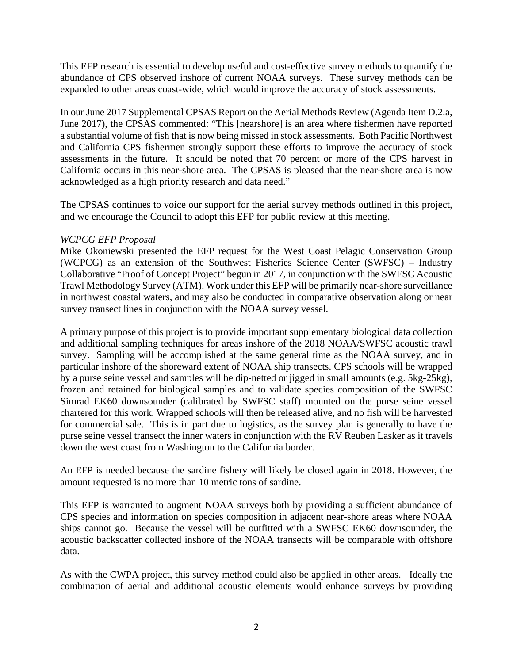This EFP research is essential to develop useful and cost-effective survey methods to quantify the abundance of CPS observed inshore of current NOAA surveys. These survey methods can be expanded to other areas coast-wide, which would improve the accuracy of stock assessments.

In our June 2017 Supplemental CPSAS Report on the Aerial Methods Review (Agenda Item D.2.a, June 2017), the CPSAS commented: "This [nearshore] is an area where fishermen have reported a substantial volume of fish that is now being missed in stock assessments. Both Pacific Northwest and California CPS fishermen strongly support these efforts to improve the accuracy of stock assessments in the future. It should be noted that 70 percent or more of the CPS harvest in California occurs in this near-shore area. The CPSAS is pleased that the near-shore area is now acknowledged as a high priority research and data need."

The CPSAS continues to voice our support for the aerial survey methods outlined in this project, and we encourage the Council to adopt this EFP for public review at this meeting.

## *WCPCG EFP Proposal*

Mike Okoniewski presented the EFP request for the West Coast Pelagic Conservation Group (WCPCG) as an extension of the Southwest Fisheries Science Center (SWFSC) – Industry Collaborative "Proof of Concept Project" begun in 2017, in conjunction with the SWFSC Acoustic Trawl Methodology Survey (ATM). Work under this EFP will be primarily near-shore surveillance in northwest coastal waters, and may also be conducted in comparative observation along or near survey transect lines in conjunction with the NOAA survey vessel.

A primary purpose of this project is to provide important supplementary biological data collection and additional sampling techniques for areas inshore of the 2018 NOAA/SWFSC acoustic trawl survey. Sampling will be accomplished at the same general time as the NOAA survey, and in particular inshore of the shoreward extent of NOAA ship transects. CPS schools will be wrapped by a purse seine vessel and samples will be dip-netted or jigged in small amounts (e.g. 5kg-25kg), frozen and retained for biological samples and to validate species composition of the SWFSC Simrad EK60 downsounder (calibrated by SWFSC staff) mounted on the purse seine vessel chartered for this work. Wrapped schools will then be released alive, and no fish will be harvested for commercial sale. This is in part due to logistics, as the survey plan is generally to have the purse seine vessel transect the inner waters in conjunction with the RV Reuben Lasker as it travels down the west coast from Washington to the California border.

An EFP is needed because the sardine fishery will likely be closed again in 2018. However, the amount requested is no more than 10 metric tons of sardine.

This EFP is warranted to augment NOAA surveys both by providing a sufficient abundance of CPS species and information on species composition in adjacent near-shore areas where NOAA ships cannot go. Because the vessel will be outfitted with a SWFSC EK60 downsounder, the acoustic backscatter collected inshore of the NOAA transects will be comparable with offshore data.

As with the CWPA project, this survey method could also be applied in other areas. Ideally the combination of aerial and additional acoustic elements would enhance surveys by providing